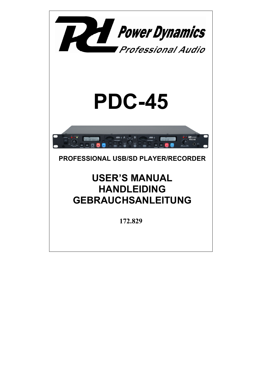

## **PROFESSIONAL USB/SD PLAYER/RECORDER**

# **USER'S MANUAL HANDLEIDING GEBRAUCHSANLEITUNG**

**172.829**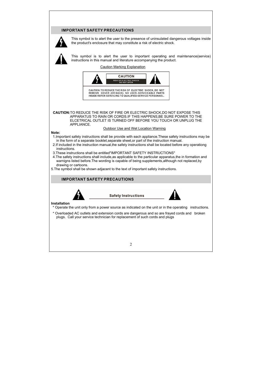### **IMPORTANT SAFETY PRECAUTIONS**



This symbol is to alert the user to the presence of uninsulated dangerous voltages inside the product's enclosure that may constitute a risk of electric shock.



This symbol is to alert the user to important operating and maintenance(service) instructions in this manual and literature accompanying the product.

Caution Marking Explanation



REMOVE COVER (OR BACK). NO USER-SERVICEABLE PARTS INSIDE REFER SERVICING TO QUALIFIED SERVICE PERSONNEL.

**CAUTION:**TO REDUCE THE RISK OF FIRE OR ELECTRIC SHOCK,DO NOT EXPOSE THIS APPARATUS TO RAIN OR CORDS.IF THIS HAPPENS,BE SURE POWER TO THE ELCETRICAL OUTLET IS TURNED OFF BEFORE YOU TOUCH OR UNPLUG THE APPLIANCE.

#### Outdoor Use and Wet Location Warning

#### **Note:**

- 1.Important safety instructions shall be provide with each appliance.These safety instructions may be in the form of a separate booklet,separate sheet,or part of the instruction manual.
- 2.If included in the instruction manual,the safety instructions shall be located before any operationg instructions.
- 3.These instructions shall be entitled"IMPORTANT SAFETY INSTRUCTIONS"
- 4.The safety instructions shall include,as applicable to the particular apparatus,the in formation and warnigns listed before.The wording is capable of being supplements,although not replaced,by drawing or cartoons.
- 5.The symbol shall be shown adjacent to the text of important safety instructions.

#### **IMPORTANT SAFETY PRECAUTIONS**



**Safety Instructions** 



#### **Installation**

- \* Operate the unit only from a power source as indicated on the unit or in the operating instructions.
- \* Overloaded AC outlets and extension cords are dangerous and so are frayed cords and broken plugs. Call your service technician for replacement of such cords and plugs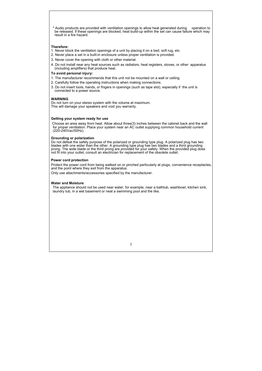\* Audio products are provided with ventilation openings to allow heat generated during operation to be released. lf these openings are blocked, heat build-up within the set can cause failure which may result in a fire hazard.

#### **Therefore:**

- 1. Never block the ventilation openings of a unit by placing it on a bed, soft rug, etc.
- 2. Never place a set in a built-in enclosure unless proper ventilation is provided.
- 3. Never cover the opening with cloth or other material.
- 4. Do not install near any heat sources such as radiators, heat registers, stoves, or other apparatus (including amplifiers) that produce heat.

#### **To avoid personal injury:**

- 1. The manufacturer recommends that this unit not be mounted on a wall or ceiling.
- 2. Carefully follow the operating instructions when making connections.
- 3. Do not insert tools, hands, or fingers in openings (such as tape slot), especially if the unit is connected to a power source.

#### **WARNING**

Do not turn on your stereo system with the volume at maximum. This will damage your speakers and void you warranty.

#### **Getting your system ready for use**

 Choose an area away from heat. Allow about three(3) inches between the cabinet back and the wall for proper ventilation. Place your system near an AC outlet supplying common household current (220-240Vac/50Hz).

#### **Grounding or polarization**

Do not defeat the safety purpose of the polarized or grounding type plug. A polarized plug has two blades with one wider than the other. A grounding type plug has two blades and a third grounding prong. The wide blade or the third prong are provided for your safety. When the provided plug does not fit into your outlet, consult an electrician for replacement of the obsolete outlet.

#### **Power cord protection**

Protect the power cord from being walked on or pinched particularly at plugs, convenience receptacles, and the point where they exit from the apparatus.

Only use attachments/accessories specified by the manufacturer.

#### **Water and Moisture**

The appliance should not be used near water, for example, near a bathtub, washbowl, kitchen sink, laundry tub, in a wet basement or neat a swimming pool and the like.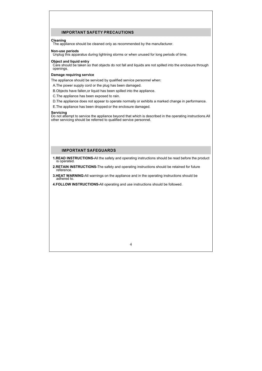### **IMPORTANT SAFETY PRECAUTIONS**

#### **Cleaning**

The appliance should be cleaned only as recommended by the manufacturer.

#### **Non-use periods**

Unplug this apparatus during lightning storms or when unused for long periods of time.

#### **Object and liquid entry**

Care should be taken so that objects do not fall and liquids are not spilled into the enclosure through openings.

#### **Damage requiring service**

The appliance should be serviced by qualified service personnel when:

- A.The power supply cord or the plug has been damaged.
- B.Objects have fallen,or liquid has been spilled into the appliance.
- C.The appliance has been exposed to rain.
- D.The appliance does not appear to operate normally or exhibits a marked change in performance.
- E.The appliance has been dropped:or the enclosure damaged.

#### **Servicing**

Do not attempt to service the appliance beyond that which is described in the operating instructions.All other servicing should be referred to qualified service personnel.

#### **IMPORTANT SAFEGUARDS**

- **1.READ INSTRUCTIONS-**All the safety and operating instructions should be read before the product is operated.
- **2.RETAIN INSTRUCTIONS-**The safety and operating instructions should be retained for future reference.
- **3.HEAT WARNING-**All warnings on the appliance and in the operating instructions should be adhered to.
- **4.FOLLOW INSTRUCTIONS-**All operating and use instructions should be followed.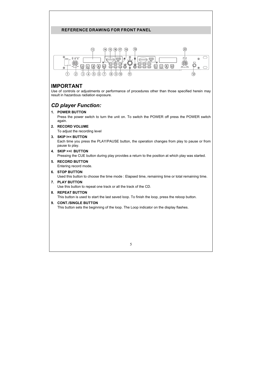### **REFERENCE DRAWING FOR FRONT PANEL**



## **IMPORTANT**

Use of controls or adjustments or performance of procedures other than those specified herein may result in hazardous radiation exposure.

## *CD player Function:*

#### **1. POWER BUTTON**

Press the power switch to turn the unit on. To switch the POWER off press the POWER switch again.

#### **2. RECORD VOLUME**

To adjust the recording level

#### **3. SKIP I<< BUTTON**

Each time you press the PLAY/PAUSE button, the operation changes from play to pause or from pause to play.

#### **4. SKIP >>I BUTTON**

Pressing the CUE button during play provides a return to the position at which play was started.

### **5. RECORD BUTTON**

Entering record mode.

#### **6. STOP BUTTON**

Used this button to choose the time mode : Elapsed time, remaining time or total remaining time.

#### **7. PLAY BUTTON**

Use this button to repeat one track or all the track of the CD.

#### **8. REPEAT BUTTON**

This button is used to start the last saved loop. To finish the loop, press the reloop button.

#### **9. CONT./SINGLE BUTTON**

This button sets the beginning of the loop. The Loop indicator on the display flashes.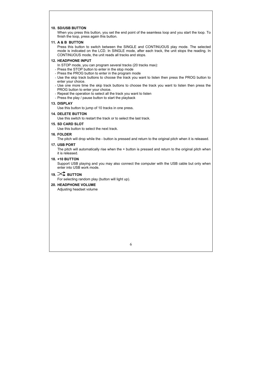#### **10. SD/USB BUTTON**

When you press this button, you set the end point of the seamless loop and you start the loop. To finish the loop, press again this button.

#### **11. A & B BUTTON**

Press this button to switch between the SINGLE and CONTINUOUS play mode. The selected mode is indicated on the LCD. In SINGLE mode, after each track, the unit stops the reading. In CONTINUOUS mode, the unit reads all tracks and stops.

#### **12. HEADPHONE INPUT**

In STOP mode, you can program several tracks (20 tracks max):

- Press the STOP button to enter in the stop mode
- Press the PROG button to enter in the program mode
- Use the skip track buttons to choose the track you want to listen then press the PROG button to enter your choice.
- Use one more time the skip track buttons to choose the track you want to listen then press the PROG button to enter your choice.
- Repeat the operation to select all the track you want to listen
- Press the play / pause button to start the playback

#### **13. DISPLAY**

Use this button to jump of 10 tracks in one press.

#### **14. DELETE BUTTON**

Use this switch to restart the track or to select the last track.

#### **15. SD CARD SLOT**

Use this button to select the next track.

#### **16. FOLDER**

The pitch will drop while the - button is pressed and return to the original pitch when it is released.

#### **17. USB PORT**

The pitch will automatically rise when the + button is pressed and return to the original pitch when it is released.

#### **18. +10 BUTTON**

Support USB playing and you may also connect the computer with the USB cable but only when enter into USB work mode.

## 19 $\infty$  **BUTTON**

For selecting random play (button will light up).

#### **20. HEADPHONE VOLUME**

Adjusting headset volume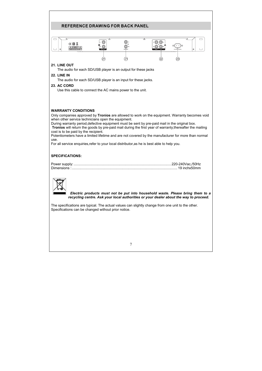## **REFERENCE DRAWING FOR BACK PANEL**



#### **21. LINE OUT**

The audio for each SD/USB player is an output for these jacks

#### **22. LINE IN**

The audio for each SD/USB player is an input for these jacks.

#### **23. AC CORD**

Use this cable to connect the AC mains power to the unit.

#### **WARRANTY CONDITIONS**

Only companies approved by **Tronios** are allowed to work on the equipment. Warranty becomes void when other service technicians open the equipment.

During warranty period,defective equipment must be sent by pre-paid mail in the original box.

**Tronios** will return the goods by pre-paid mail during the first year of warranty; thereafter the mailing cost is to be paid by the recipient.

Potentiometers have a limited lifetime and are not covered by the manufacturer for more than normal use.

For all service enquiries,refer to your local distributor,as he is best able to help you.

#### **SPECIFICATIONS:**



 *Electric products must not be put into household waste. Please bring them to a recycling centre. Ask your local authorities or your dealer about the way to proceed.* 

The specifications are typical. The actual values can slightly change from one unit to the other. Specifications can be changed without prior notice.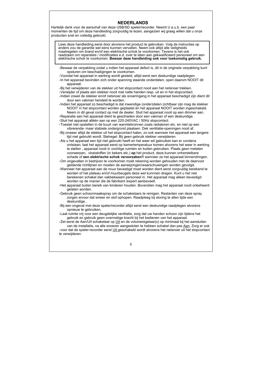### **NEDERLANDS**

Hartelijk dank voor de aanschaf van deze USB/SD speler/recorder. Neemt U a.u.b. een paar momenten de tijd om deze handleiding zorgvuldig te lezen, aangezien wij graag willen dat u onze producten snel en volledig gebruikt.

Lees deze handleiding eerst door alvorens het product te gebruiken. Volg de instructies op anders zou de garantie wel eens kunnen vervallen. Neem ook altijd alle veiligheids maatregelen om brand en/of een elektrische schok te voorkomen. Tevens is het ook raadzaam om reparaties / modificaties e.d. over te laten aan gekwalificeerd personeel om een elektrische schok te voorkomen. **Bewaar deze handleiding ook voor toekomstig gebruik.**

- Bewaar de verpakking zodat u indien het apparaat defect is, dit in de originele verpakking kunt opsturen om beschadigingen te voorkomen.
- Voordat het apparaat in werking wordt gesteld, altijd eerst een deskundige raadplegen.
- In het apparaat bevinden zich onder spanning staande onderdelen; open daarom NOOIT dit apparaat.
- Bij het verwijderen van de stekker uit het stopcontact nooit aan het netsnoer trekken.
- Verwijder of plaats een stekker nooit met natte handen resp. uit en in het stopcontact.
- Indien zowel de stekker en/of netsnoer als snoeringang in het apparaat beschadigd zijn dient dit door een vakman hersteld te worden.
- Indien het apparaat zo beschadigd is dat inwendige (onder)delen zichtbaar zijn mag de stekker NOOIT in het stopcontact worden geplaatst én het apparaat NOOIT worden ingeschakeld. Neem in dit geval contact op met de dealer. Sluit het apparaat nooit op een dimmer aan.
- Reparatie aan het apparaat dient te geschieden door een vakman of een deskundige.
- Sluit het apparaat alléén aan op een 220-240VAC / 50Hz stopcontact.
- Toestel niet opstellen in de buurt van warmtebronnen zoals radiatoren etc. en niet op een vibrerende- maar stabiele ondergrond plaatsen. Dek ventilatie-openingen nooit af.
- Bij onweer altijd de stekker uit het stopcontact halen, zo ook wanneer het apparaat een langere tijd niet gebruikt wordt. Stelregel: Bij geen gebruik stekker verwijderen.
- Als u het apparaat een tijd niet gebruikt heeft en het weer wil gebruiken kan er condens ontstaan; laat het apparaat eerst op kamertemperatuur komen alvorens het weer in werking te stellen ; apparaat nooit in vochtige ruimten en buiten gebruiken. Plaats geen metalen voorwerpen, vloeistoffen (in bekers etc.) **op** het product, deze kunnen onherstelbare schade of **een elektrische schok veroorzaken!!** wanneer ze het apparaat binnendringen.
- Om ongevallen in bedrijven te voorkomen moét rekening worden gehouden met de daarvoor geldende richtlijnen en moeten de aanwijzingen/waarschuwingen worden gevolgd.
- Wanneer het apparaat aan de muur bevestigd moet worden dient eerst zorgvuldig berekend te worden of het plateau en/of muurbeugels deze wel kunnnen dragen. Kunt u het niet berekenen schakel dan vakbekwaam personeel in. Het apparaat mag alleen bevestigd worden op de manier die de fabrikant /expert aanbeveelt.
- Het apparaat buiten bereik van kinderen houden. Bovendien mag het apparaat nooit onbeheerd gelaten worden.
- Gebruik geen schoonmaakspray om de schakelaars te reinigen. Restanten van deze spray zorgen ervoor dat smeer en stof ophopen. Raadpleeg bij storing te allen tijde een deskundige...
- Bij een ongeval met deze speler/recorder altijd eerst een deskundige raadplegen alvorens opnieuw te gebruiken.
- Laat ruimte vrij voor een deugdelijke ventilatie, zorg dat uw handen schoon zijn tijdens het gebruik en gebruik geen overmatige kracht bij het bedienen van het apparaat.
- Zet eerst de Aan/Uit schakelaar op Uit en de volumeregelaar(s) op minimaal bij het aansluiten van de installatie, na alle snoeren aangesloten te hebben schakel dan pas Aan. Zorg er ook

- voor dat de speler-recorder eerst Uit geschakeld wordt alvorens het netsnoer uit het stopcontact te verwijderen.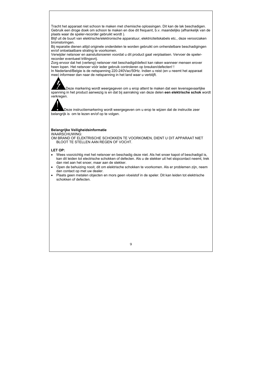Tracht het apparaat niet schoon te maken met chemische oplossingen. Dit kan de lak beschadigen. Gebruik een droge doek om schoon te maken en doe dit frequent, b.v. maandelijks (afhankelijk van de plaats waar de speler-recorder gebruikt wordt ).

Blijf uit de buurt van elektrische/elektronische apparatuur, elektriciteitskabels etc., deze veroorzaken bromstoringen.

Bij reparatie dienen altijd originele onderdelen te worden gebruikt om onherstelbare beschadigingen en/of ontoelaatbare straling te voorkomen.

Verwijder netsnoer en aansluitsnoeren voordat u dit product gaat verplaatsen. Vervoer de spelerrecorder eventueel trillingsvrij.

Zorg ervoor dat het (verleng) netsnoer niet beschadigd/defect kan raken wanneer mensen erover heen lopen. Het netsnoer vóór ieder gebruik controleren op breuken/defecten! !

In Nederland/Belgie is de netspanning 220-240Vac/50Hz. Indien u reist (en u neemt het apparaat mee) informeer dan naar de netspanning in het land waar u verblijft.



Deze markering wordt weergegeven om u erop attent te maken dat een levensgevaarlijke spanning in het product aanwezig is en dat bij aanraking van deze delen **een elektrische schok** wordt verkregen.



Deze instructiemarkering wordt weergegeven om u erop te wijzen dat de instructie zeer belangrijk is om te lezen en/of op te volgen.

#### **Belangrijke Veiligheidsinformatie**

WAARSCHUWING:

OM BRAND OF ELEKTRISCHE SCHOKKEN TE VOORKOMEN, DIENT U DIT APPARAAT NIET BLOOT TE STELLEN AAN REGEN OF VOCHT.

#### **LET OP:**

- Wees voorzichtig met het netsnoer en beschadig deze niet. Als het snoer kapot of beschadigd is, kan dit leiden tot electrische schokken of defecten. Als u de stekker uit het stopcontact neemt, trek dan niet aan het snoer, maar aan de stekker.
- Open de behuizing nooit, dit om elektrische schokken te voorkomen. Als er problemen zijn, neem dan contact op met uw dealer.
- Plaats geen metalen objecten en mors geen vloeistof in de speler. Dit kan leiden tot elektrische schokken of defecten.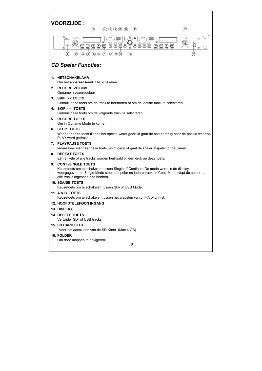## **VOORZIJDE :**



## *CD Speler Functies:*

#### **1. NETSCHAKELAAR**

Om het apparaat Aan/Uit te schakelen.

## **2. RECORD VOLUME**

Opname niveauregelaar

#### **3. SKIP I<< TOETS**

Gebruik deze toets om de track te herstarten of om de laatste track te selecteren.

#### **4. SKIP >>I TOETS**

Gebruik deze toets om de volgende track te selecteren.

#### **5. RECORD TOETS**

Om in Opname Mode te komen.

#### **6. STOP TOETS**

Wanneer deze toets tijdens het spelen wordt gedrukt gaat de speler terug naar de positie waar op PLAY werd gedrukt.

#### **7. PLAYPAUSE TOETS**

Iedere keer wanneer deze toets wordt gedrukt gaat de speler afspelen of pauzeren.

#### **8. REPEAT TOETS**

Eén enkele of alle tracks worden herhaald bij een druk op deze toets.

#### **9. CONT./SINGLE TOETS**

Keuzetoets om te schakelen tussen Single of Continue. De mode wordt in de display weergegeven. In Single-Mode stopt de speler na iedere track. In Cont. Mode stopt de speler na alle tracks afgespeeld te hebben.

#### **10. SD/USB TOETS**

Keuzetoets om te schakelen tussen SD- of USB Mode.

#### **11. A & B TOETS**

Keuzetoets om te schakelen tussen het afspelen van unit-A of unit-B.

#### **12. HOOFDTELEFOON INGANG**

#### **13. DISPLAY**

#### **14. DELETE TOETS**

Verwijder SD- of USB tracks

#### **15. SD CARD SLOT**

Voor het aansluiten van de SD Kaart. (Max 4 GB)

#### **16. FOLDER**

Om door mappen te navigeren.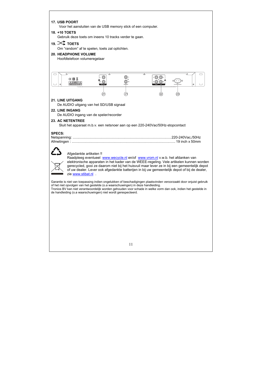#### **17. USB POORT**

Voor het aansluiten van de USB memory stick of een computer.

#### **18. +10 TOETS**

Gebruik deze toets om ineens 10 tracks verder te gaan.

## 19.  $\propto$  toets

Om "random" af te spelen, toets zal oplichten.

#### **20. HEADPHONE VOLUME**

Hoofdtelefoon volumeregelaar



of het niet opvolgen van het gestelde (o.a waarschuwingen) in deze handleiding. Tronios BV kan niet verantwoordelijk worden gehouden voor schade in welke vorm dan ook, indien het gestelde in de handleiding (o.a waarschuwingen) niet wordt gerespecteerd.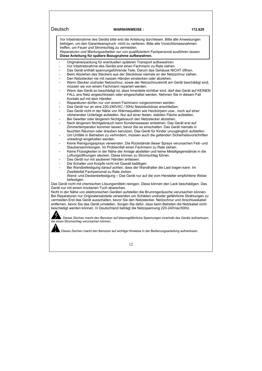Vor Inbetriebnahme des Geräts bitte erst die Anleitung durchlesen. Bitte alle Anweisungen befolgen, um den Garantieanspruch nicht zu verlieren. Bitte alle Vorsichtsmassnahmen treffen, um Feuer und Stromschlag zu vermeiden.

*Reparaturen und Wartungsarbeiten nur von qualifiziertem Fachpersonal ausführen lassen.*  **Diese Anleitung für spätere Bezugnahme aufbewahren.**

- Originalverpackung für eventuellen späteren Transport aufbewahren.
- Vor Inbetriebnahme des Geräts erst einen Fachmann zu Rate ziehen
- Das Gerät enthält spannungsführende Teile. Darum das Gehäuse NICHT öffnen.
- Beim Abziehen des Steckers aus der Steckdose niemals an der Netzschnur ziehen.
- Den Netzstecker nie mit nassen Händen einstecken oder abziehen.
- Wenn Stecker und/oder Netzschnur, sowie der Netzschnureinritt am Gerät beschädigt sind, müssen sie von einem Fachmann repariert werden.
- Wenn das Gerät so beschädigt ist, dass Innenteile sichtbar sind, darf das Gerät auf KEINEN FALL ans Netz angeschlossen oder eingeschaltet werden. Nehmen Sie in diesem Fall Kontakt auf mit dem Händler.
- Reparaturen dürfen nur von einem Fachmann vorgenommen werden.
- Das Gerät nur an eine 220-240VAC / 50Hz Netzsteckdose anschließen.
- Das Gerät nicht in der Nähe von Wärmequellen wie Heizkörpern usw., noch auf einer vibrierenden Unterlage aufstellen. Nur auf einer festen, stabilen Fläche aufstellen.
- Bei Gewitter oder längerem Nichtgebrauch den Netzstecker abziehen.
- Nach längerem Nichtgebrauch kann Kondenswasser entstehen. Das Gerät erst auf Zimmertemperatur kommen lassen, bevor Sie es einschalten. Das Gerät niemals in feuchten Räumen oder draußen benutzen. Das Gerät für Kinder unzugänglich aufstellen.
- Um Unfälle in Betrieben zu verhindern, müssen auch die geltenden Sicherheitsvorschriften unbedingt eingehalten werden.
- Keine Reinigungssprays verwenden. Die Rückstände dieser Sprays verursachen Fett- und Staubansammlungen. Im Problemfall einen Fachmann zu Rate ziehen.
- Keine Flüssigkeiten in der Nähe der Anlage abstellen und keine Metallgegenstände in die Lüftungsöffnungen stecken. Diese können zu Stromschlag führen.
- Das Gerät nur mit sauberen Händen anfassen.
- Die Schalter und Knöpfe nicht mit Gewalt betätigen.
- Bei Wandbefestigung darauf achten, dass der Wandhalter die Last tragen kann. Im Zweifelsfall Fachpersonal zu Rate ziehen.

Wand- und Deckenbefestigung – Das Gerät nur auf die vom Hersteller empfohlene Weise befestigen.

Das Gerät nicht mit chemischen Lösungsmitteln reinigen. Diese können den Lack beschädigen. Das Gerät nur mit einem trockenen Tuch abwischen.

Nicht in der Nähe von elektronischen Geräten aufstellen die Brummgeräusche verursachen können. Bei Reparaturen nur Originalersatzteile verwenden um Schäden und/oder gefährliche Strahlungen zu vermeiden.Erst das Gerät ausschalten, bevor Sie den Netzstecker. Netzschnur und Anschlusskabel entfernen, bevor Sie das Gerät umstellen. Sorgen Sie dafür, dass beim Betreten die Netzkabel nicht beschädigt werden können. In Deutschland beträgt die Netzspannung 220-240Vac/50Hz.

Dieses Zeichen macht den Benutzer auf lebensgefährliche Spannungen innerhalb des Geräts aufmerksam, die einen Stromschlag verursachen können.

Dieses Zeichen macht den Benutzer auf wichtige Hinweise in der Bedienungsanleitung aufmerksam.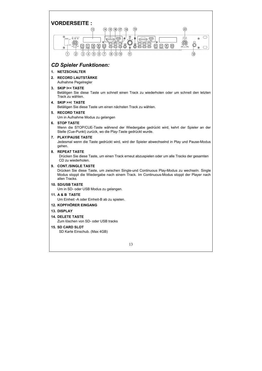## **VORDERSEITE :**



## *CD Spieler Funktionen:*

#### **1. NETZSCHALTER**

**2. RECORD LAUTSTÄRKE** 

Aufnahme Pegelregler

#### **3. SKIP I<< TASTE**

Betätigen Sie diese Taste um schnell einen Track zu wiederholen oder um schnell den letzten Track zu wählen.

#### **4. SKIP >>I TASTE**

Betätigen Sie diese Taste um einen nächsten Track zu wählen.

#### **5. RECORD TASTE**

Um in Aufnahme Modus zu gelangen

#### **6. STOP TASTE**

Wenn die STOP/CUE-Taste während der Wiedergabe gedrückt wird, kehrt der Spieler an der Stelle (Cue-Punkt) zurück, wo die Play-Taste gedrückt wurde.

#### **7. PLAY/PAUSE TASTE**

Jedesmal wenn die Taste gedrückt wird, wird der Spieler abwechselnd in Play und Pause-Modus gehen.

#### **8. REPEAT TASTE**

Drücken Sie diese Taste, um einen Track erneut abzuspielen oder um alle Tracks der gesamten CD zu wiederholen.

#### **9. CONT./SINGLE TASTE**

Drücken Sie diese Taste, um zwischen Single-und Continuous Play-Modus zu wechseln. Single Modus stoppt die Wiedergabe nach einem Track. Im Continuous-Modus stoppt der Player nach allen Tracks.

#### **10. SD/USB TASTE**

Um in SD- oder USB Modus zu gelangen.

#### **11. A & B TASTE**

Um Einheit -A oder Einheit-B ab zu spielen.

#### **12. KOPFHÖRER EINGANG**

#### **13. DISPLAY**

#### **14. DELETE TASTE**

Zum löschen von SD- oder USB tracks

#### **15. SD CARD SLOT**

SD Karte Einschub. (Max 4GB)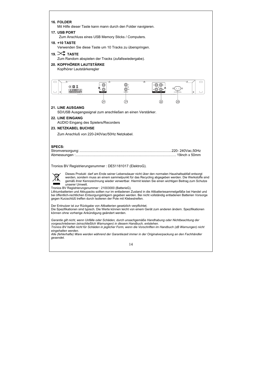#### **16. FOLDER**

Mit Hilfe dieser Taste kann mann durch den Folder navigieren.

#### **17. USB PORT**

Zum Anschluss eines USB Memory Sticks / Computers.

#### **18. +10 TASTE**

Verwenden Sie diese Taste um 10 Tracks zu überspringen.

## **19. TASTE**

Zum Random abspielen der Tracks (zufallswiedergabe).

#### **20. KOPFHÖRER LAUTSTÄRKE**

Kopfhörer Lautstärkeregler



#### **21. LINE AUSGANG**

SD/USB Ausgangssignal zum anschließen an einen Verstärker.

#### **22. LINE EINGANG**

AUDIO Eingang des Spielers/Recorders

#### **23. NETZKABEL BUCHSE**

Zum Anschluß von 220-240Vac/50Hz Netzkabel.

#### **SPECS:**

Tronios BV Registrierungsnummer : DE51181017 (ElektroG).



Dieses Produkt darf am Ende seiner Lebensdauer nicht über den normalen Haushaltsabfall entsorgt werden, sondern muss an einem sammelpunkt für das Recycling abgegeben werden. Die Werkstoffe sind gemäß ihrer Kennzeichnung wieder verwertbar. Hiermit leisten Sie einen wichtigen Beitrag zum Schutze unserer Umwelt.

Tronios BV Registrierungsnummer : 21003000 (BatterieG).

Lithiumbatterien und Akkupacks sollten nur im entladenen Zustand in die Altbatteriesammelgefäße bei Handel und bei öffentlich-rechtlichen Entsorgungsträgern gegeben werden. Bei nicht vollständig entladenen Batterien Vorsorge gegen Kurzschlüß treffen durch Isolieren der Pole mit Klebestreifen.

Der Entnutzer ist zur Rückgabe von Altbatterien gesetzlich verpflichtet.

Die Spezifikationen sind typisch. Die Werte können leicht von einem Gerät zum anderen ändern. Spezifikationen können ohne vorherige Ankündigung geändert werden.

*Garantie gilt nicht, wenn Unfälle oder Schäden, durch unsachgemäße Handhabung oder Nichtbeachtung der vorgeschriebenen (einschließlich Warnungen) in diesem Handbuch, entstehen.* 

*Tronios BV haftet nicht für Schäden in jeglicher Form, wenn die Vorschriften im Handbuch (zB Warnungen) nicht eingehalten werden.* 

*Alle (fehlerhafte) Ware werden während der Garantiezeit immer in der Originalverpackung an den Fachhändler gesendet.*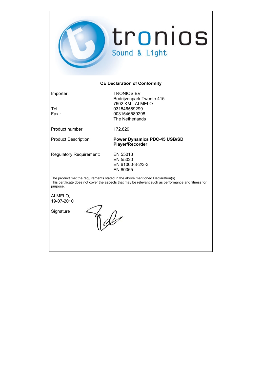

### **CE Declaration of Conformity**

Importer: TRONIOS BV Bedrijvenpark Twente 415 7602 KM - ALMELO Tel : 031546589299 0031546589298 The Netherlands

Product number: 172.829

Product Description: **Power Dynamics PDC-45 USB/SD Player/Recorder** 

Regulatory Requirement: EN 55013

 EN 55020 EN 61000-3-2/3-3 EN 60065

The product met the requirements stated in the above mentioned Declaration(s). This certificate does not cover the aspects that may be relevant such as performance and fitness for purpose.

ALMELO, 19-07-2010

**Signature**